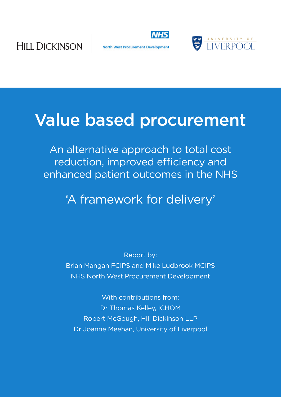

North West Procurement Development



# Value based procurement

An alternative approach to total cost reduction, improved efficiency and enhanced patient outcomes in the NHS

'A framework for delivery'

Report by: Brian Mangan FCIPS and Mike Ludbrook MCIPS NHS North West Procurement Development

With contributions from: Dr Thomas Kelley, ICHOM Robert McGough, Hill Dickinson LLP Dr Joanne Meehan, University of Liverpool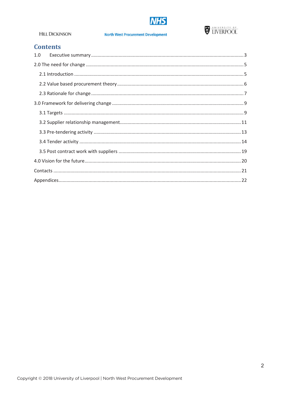



#### **North West Procurement Development**

## **Contents**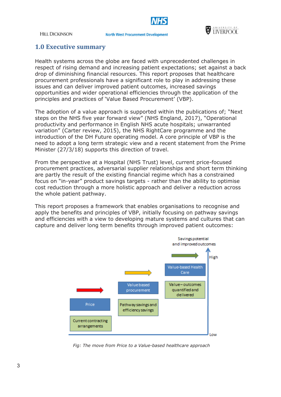

#### **North West Procurement Development**



### **1.0 Executive summary**

Health systems across the globe are faced with unprecedented challenges in respect of rising demand and increasing patient expectations; set against a back drop of diminishing financial resources. This report proposes that healthcare procurement professionals have a significant role to play in addressing these issues and can deliver improved patient outcomes, increased savings opportunities and wider operational efficiencies through the application of the principles and practices of 'Value Based Procurement' (VBP).

The adoption of a value approach is supported within the publications of; "Next steps on the NHS five year forward view" (NHS England, 2017), "Operational productivity and performance in English NHS acute hospitals; unwarranted variation" (Carter review, 2015), the NHS RightCare programme and the introduction of the DH Future operating model. A core principle of VBP is the need to adopt a long term strategic view and a recent statement from the Prime Minister (27/3/18) supports this direction of travel.

From the perspective at a Hospital (NHS Trust) level, current price-focused procurement practices, adversarial supplier relationships and short term thinking are partly the result of the existing financial regime which has a constrained focus on "in-year" product savings targets - rather than the ability to optimise cost reduction through a more holistic approach and deliver a reduction across the whole patient pathway.

This report proposes a framework that enables organisations to recognise and apply the benefits and principles of VBP, initially focusing on pathway savings and efficiencies with a view to developing mature systems and cultures that can capture and deliver long term benefits through improved patient outcomes:



*Fig: The move from Price to a Value-based healthcare approach*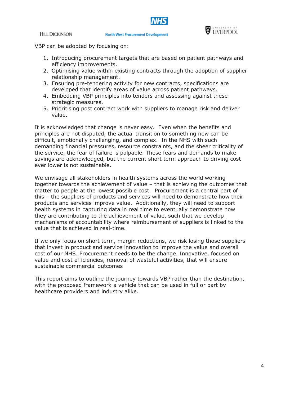

VBP can be adopted by focusing on:

- 1. Introducing procurement targets that are based on patient pathways and efficiency improvements.
- 2. Optimising value within existing contracts through the adoption of supplier relationship management.
- 3. Ensuring pre-tendering activity for new contracts, specifications are developed that identify areas of value across patient pathways.
- 4. Embedding VBP principles into tenders and assessing against these strategic measures.
- 5. Prioritising post contract work with suppliers to manage risk and deliver value.

It is acknowledged that change is never easy. Even when the benefits and principles are not disputed, the actual transition to something new can be difficult, emotionally challenging, and complex. In the NHS with such demanding financial pressures, resource constraints, and the sheer criticality of the service, the fear of failure is palpable. These fears and demands to make savings are acknowledged, but the current short term approach to driving cost ever lower is not sustainable.

We envisage all stakeholders in health systems across the world working together towards the achievement of value – that is achieving the outcomes that matter to people at the lowest possible cost. Procurement is a central part of this – the suppliers of products and services will need to demonstrate how their products and services improve value. Additionally, they will need to support health systems in capturing data in real time to eventually demonstrate how they are contributing to the achievement of value, such that we develop mechanisms of accountability where reimbursement of suppliers is linked to the value that is achieved in real-time.

If we only focus on short term, margin reductions, we risk losing those suppliers that invest in product and service innovation to improve the value and overall cost of our NHS. Procurement needs to be the change. Innovative, focused on value and cost efficiencies, removal of wasteful activities, that will ensure sustainable commercial outcomes

This report aims to outline the journey towards VBP rather than the destination, with the proposed framework a vehicle that can be used in full or part by healthcare providers and industry alike.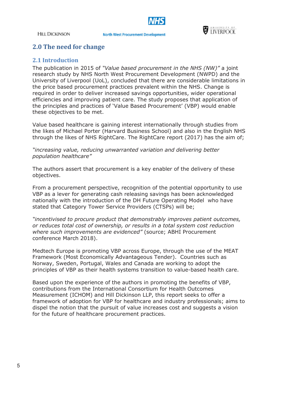

**North West Procurement Development** 



## **2.0 The need for change**

## **2.1 Introduction**

The publication in 2015 of *"Value based procurement in the NHS (NW)"* a joint research study by NHS North West Procurement Development (NWPD) and the University of Liverpool (UoL), concluded that there are considerable limitations in the price based procurement practices prevalent within the NHS. Change is required in order to deliver increased savings opportunities, wider operational efficiencies and improving patient care. The study proposes that application of the principles and practices of 'Value Based Procurement' (VBP) would enable these objectives to be met.

Value based healthcare is gaining interest internationally through studies from the likes of Michael Porter (Harvard Business School) and also in the English NHS through the likes of NHS RightCare. The RightCare report (2017) has the aim of;

*"increasing value, reducing unwarranted variation and delivering better population healthcare"*

The authors assert that procurement is a key enabler of the delivery of these objectives.

From a procurement perspective, recognition of the potential opportunity to use VBP as a lever for generating cash releasing savings has been acknowledged nationally with the introduction of the DH Future Operating Model who have stated that Category Tower Service Providers (CTSPs) will be;

*"incentivised to procure product that demonstrably improves patient outcomes, or reduces total cost of ownership, or results in a total system cost reduction where such improvements are evidenced"* (source; ABHI Procurement conference March 2018).

Medtech Europe is promoting VBP across Europe, through the use of the MEAT Framework (Most Economically Advantageous Tender). Countries such as Norway, Sweden, Portugal, Wales and Canada are working to adopt the principles of VBP as their health systems transition to value-based health care.

Based upon the experience of the authors in promoting the benefits of VBP, contributions from the International Consortium for Health Outcomes Measurement (ICHOM) and Hill Dickinson LLP, this report seeks to offer a framework of adoption for VBP for healthcare and industry professionals; aims to dispel the notion that the pursuit of value increases cost and suggests a vision for the future of healthcare procurement practices.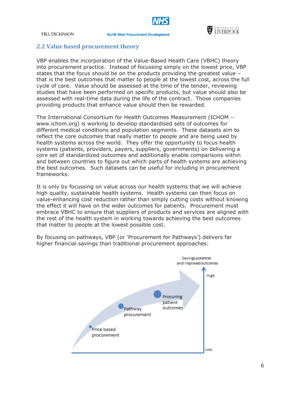

#### **North West Procurement Development**



#### **2.2 Value based procurement theory**

VBP enables the incorporation of the Value-Based Health Care (VBHC) theory into procurement practice. Instead of focussing simply on the lowest price, VBP states that the focus should be on the products providing the greatest value – that is the best outcomes that matter to people at the lowest cost, across the full cycle of care. Value should be assessed at the time of the tender, reviewing studies that have been performed on specific products, but value should also be assessed with real-time data during the life of the contract. Those companies providing products that enhance value should then be rewarded.

The International Consortium for Health Outcomes Measurement (ICHOM – www.ichom.org) is working to develop standardised sets of outcomes for different medical conditions and population segments. These datasets aim to reflect the core outcomes that really matter to people and are being used by health systems across the world. They offer the opportunity to focus health systems (patients, providers, payers, suppliers, governments) on delivering a core set of standardized outcomes and additionally enable comparisons within and between countries to figure out which parts of health systems are achieving the best outcomes. Such datasets can be useful for including in procurement frameworks.

It is only by focussing on value across our health systems that we will achieve high quality, sustainable health systems. Health systems can then focus on value-enhancing cost reduction rather than simply cutting costs without knowing the effect it will have on the wider outcomes for patients. Procurement must embrace VBHC to ensure that suppliers of products and services are aligned with the rest of the health system in working towards achieving the best outcomes that matter to people at the lowest possible cost.



By focusing on pathways, VBP (or 'Procurement for Pathways') delivers far higher financial savings than traditional procurement approaches: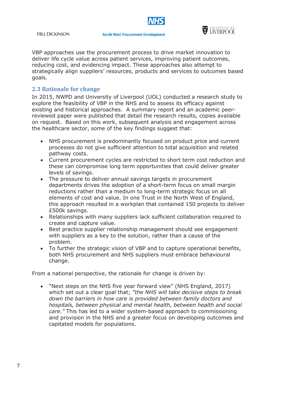



VBP approaches use the procurement process to drive market innovation to deliver life cycle value across patient services, improving patient outcomes, reducing cost, and evidencing impact. These approaches also attempt to strategically align suppliers' resources, products and services to outcomes based goals.

## **2.3 Rationale for change**

In 2015, NWPD and University of Liverpool (UOL) conducted a research study to explore the feasibility of VBP in the NHS and to assess its efficacy against existing and historical approaches. A summary report and an academic peerreviewed paper were published that detail the research results, copies available on request. Based on this work, subsequent analysis and engagement across the healthcare sector, some of the key findings suggest that:

- NHS procurement is predominantly focused on product price and current processes do not give sufficient attention to total acquisition and related pathway costs.
- Current procurement cycles are restricted to short term cost reduction and these can compromise long term opportunities that could deliver greater levels of savings.
- The pressure to deliver annual savings targets in procurement departments drives the adoption of a short-term focus on small margin reductions rather than a medium to long-term strategic focus on all elements of cost and value. In one Trust in the North West of England, this approach resulted in a workplan that contained 150 projects to deliver £500k savings.
- Relationships with many suppliers lack sufficient collaboration required to create and capture value.
- Best practice supplier relationship management should see engagement with suppliers as a key to the solution, rather than a cause of the problem.
- To further the strategic vision of VBP and to capture operational benefits, both NHS procurement and NHS suppliers must embrace behavioural change.

From a national perspective, the rationale for change is driven by:

 "Next steps on the NHS five year forward view" (NHS England, 2017) which set out a clear goal that; *"the NHS will take decisive steps to break down the barriers in how care is provided between family doctors and hospitals, between physical and mental health, between health and social care."* This has led to a wider system-based approach to commissioning and provision in the NHS and a greater focus on developing outcomes and capitated models for populations.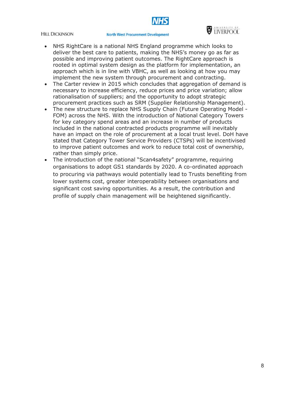#### **North West Procurement Development**



- NHS RightCare is a national NHS England programme which looks to deliver the best care to patients, making the NHS's money go as far as possible and improving patient outcomes. The RightCare approach is rooted in optimal system design as the platform for implementation, an approach which is in line with VBHC, as well as looking at how you may implement the new system through procurement and contracting.
- The Carter review in 2015 which concludes that aggregation of demand is necessary to increase efficiency, reduce prices and price variation; allow rationalisation of suppliers; and the opportunity to adopt strategic procurement practices such as SRM (Supplier Relationship Management).
- The new structure to replace NHS Supply Chain (Future Operating Model -FOM) across the NHS. With the introduction of National Category Towers for key category spend areas and an increase in number of products included in the national contracted products programme will inevitably have an impact on the role of procurement at a local trust level. DoH have stated that Category Tower Service Providers (CTSPs) will be incentivised to improve patient outcomes and work to reduce total cost of ownership, rather than simply price.
- The introduction of the national "Scan4safety" programme, requiring organisations to adopt GS1 standards by 2020. A co-ordinated approach to procuring via pathways would potentially lead to Trusts benefiting from lower systems cost, greater interoperability between organisations and significant cost saving opportunities. As a result, the contribution and profile of supply chain management will be heightened significantly.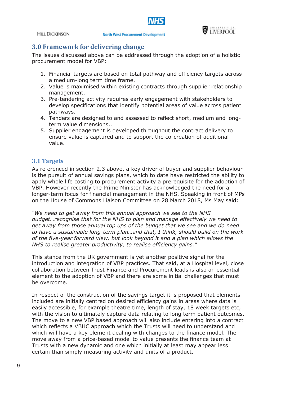

#### **North West Procurement Development**



## **3.0 Framework for delivering change**

The issues discussed above can be addressed through the adoption of a holistic procurement model for VBP:

- 1. Financial targets are based on total pathway and efficiency targets across a medium-long term time frame.
- 2. Value is maximised within existing contracts through supplier relationship management.
- 3. Pre-tendering activity requires early engagement with stakeholders to develop specifications that identify potential areas of value across patient pathways.
- 4. Tenders are designed to and assessed to reflect short, medium and longterm value dimensions..
- 5. Supplier engagement is developed throughout the contract delivery to ensure value is captured and to support the co-creation of additional value.

## **3.1 Targets**

As referenced in section 2.3 above, a key driver of buyer and supplier behaviour is the pursuit of annual savings plans, which to date have restricted the ability to apply whole life costing to procurement activity a prerequisite for the adoption of VBP. However recently the Prime Minister has acknowledged the need for a longer-term focus for financial management in the NHS. Speaking in front of MPs on the House of Commons Liaison Committee on 28 March 2018, Ms May said:

*"We need to get away from this annual approach we see to the NHS budget…recognise that for the NHS to plan and manage effectively we need to get away from those annual top ups of the budget that we see and we do need to have a sustainable long-term plan…and that, I think, should build on the work of the five-year forward view, but look beyond it and a plan which allows the NHS to realise greater productivity, to realise efficiency gains."*

This stance from the UK government is yet another positive signal for the introduction and integration of VBP practices. That said, at a Hospital level, close collaboration between Trust Finance and Procurement leads is also an essential element to the adoption of VBP and there are some initial challenges that must be overcome.

In respect of the construction of the savings target it is proposed that elements included are initially centred on desired efficiency gains in areas where data is easily accessible, for example theatre time, length of stay, 18 week targets etc, with the vision to ultimately capture data relating to long term patient outcomes. The move to a new VBP based approach will also include entering into a contract which reflects a VBHC approach which the Trusts will need to understand and which will have a key element dealing with changes to the finance model. The move away from a price-based model to value presents the finance team at Trusts with a new dynamic and one which initially at least may appear less certain than simply measuring activity and units of a product.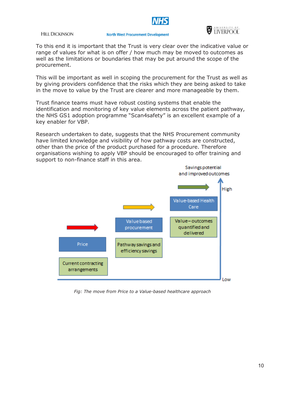

#### **North West Procurement Development**



To this end it is important that the Trust is very clear over the indicative value or range of values for what is on offer / how much may be moved to outcomes as well as the limitations or boundaries that may be put around the scope of the procurement.

This will be important as well in scoping the procurement for the Trust as well as by giving providers confidence that the risks which they are being asked to take in the move to value by the Trust are clearer and more manageable by them.

Trust finance teams must have robust costing systems that enable the identification and monitoring of key value elements across the patient pathway, the NHS GS1 adoption programme "Scan4safety" is an excellent example of a key enabler for VBP.

Research undertaken to date, suggests that the NHS Procurement community have limited knowledge and visibility of how pathway costs are constructed, other than the price of the product purchased for a procedure. Therefore organisations wishing to apply VBP should be encouraged to offer training and support to non-finance staff in this area.



*Fig: The move from Price to a Value-based healthcare approach*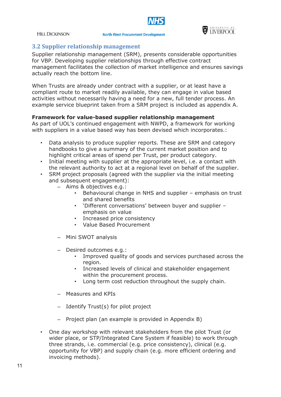

#### **North West Procurement Development**



## **3.2 Supplier relationship management**

Supplier relationship management (SRM), presents considerable opportunities for VBP. Developing supplier relationships through effective contract management facilitates the collection of market intelligence and ensures savings actually reach the bottom line.

When Trusts are already under contract with a supplier, or at least have a compliant route to market readily available, they can engage in value based activities without necessarily having a need for a new, full tender process. An example service blueprint taken from a SRM project is included as appendix A.

#### **Framework for value-based supplier relationship management**

As part of UOL's continued engagement with NWPD, a framework for working with suppliers in a value based way has been devised which incorporates.:

- Data analysis to produce supplier reports. These are SRM and category handbooks to give a summary of the current market position and to highlight critical areas of spend per Trust, per product category.
- Initial meeting with supplier at the appropriate level, i.e. a contact with the relevant authority to act at a regional level on behalf of the supplier.
- SRM project proposals (agreed with the supplier via the initial meeting and subsequent engagement):
	- Aims & objectives e.g.:
		- Behavioural change in NHS and supplier emphasis on trust and shared benefits
		- 'Different conversations' between buyer and supplier emphasis on value
		- Increased price consistency
		- Value Based Procurement
	- Mini SWOT analysis
	- Desired outcomes e.g.:
		- Improved quality of goods and services purchased across the region.
		- Increased levels of clinical and stakeholder engagement within the procurement process.
		- Long term cost reduction throughout the supply chain.
	- Measures and KPIs
	- Identify Trust(s) for pilot project
	- Project plan (an example is provided in Appendix B)
- One day workshop with relevant stakeholders from the pilot Trust (or wider place, or STP/Integrated Care System if feasible) to work through three strands, i.e. commercial (e.g. price consistency), clinical (e.g. opportunity for VBP) and supply chain (e.g. more efficient ordering and invoicing methods).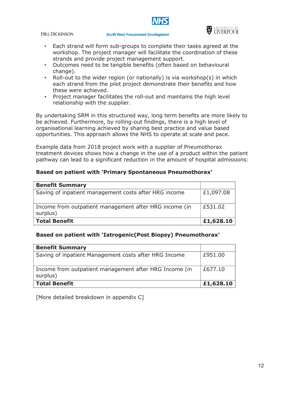



- Each strand will form sub-groups to complete their tasks agreed at the workshop. The project manager will facilitate the coordination of these strands and provide project management support.
- Outcomes need to be tangible benefits (often based on behavioural change).
- Roll-out to the wider region (or nationally) is via workshop(s) in which each strand from the pilot project demonstrate their benefits and how these were achieved.
- Project manager facilitates the roll-out and maintains the high level relationship with the supplier.

By undertaking SRM in this structured way, long term benefits are more likely to be achieved. Furthermore, by rolling-out findings, there is a high level of organisational learning achieved by sharing best practice and value based opportunities. This approach allows the NHS to operate at scale and pace.

Example data from 2018 project work with a supplier of Pneumothorax treatment devices shows how a change in the use of a product within the patient pathway can lead to a significant reduction in the amount of hospital admissions:

## **Based on patient with 'Primary Spontaneous Pneumothorax'**

| <b>Benefit Summary</b>                                             |           |
|--------------------------------------------------------------------|-----------|
| Saving of inpatient management costs after HRG income              | £1,097.08 |
| Income from outpatient management after HRG income (in<br>surplus) | £531.02   |
| <b>Total Benefit</b>                                               | £1,628.10 |

## **Based on patient with 'Iatrogenic(Post Biopsy) Pneumothorax'**

| <b>Benefit Summary</b>                                             |           |
|--------------------------------------------------------------------|-----------|
| Saving of inpatient Management costs after HRG Income              | £951.00   |
| Income from outpatient management after HRG Income (in<br>surplus) | £677.10   |
| <b>Total Benefit</b>                                               | £1,628.10 |

[More detailed breakdown in appendix C]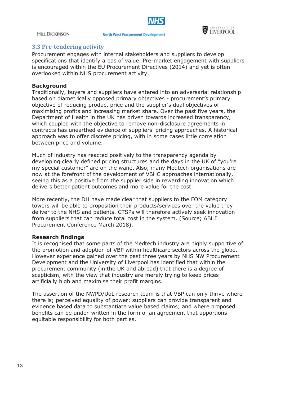

#### **North West Procurement Development**



### **3.3 Pre-tendering activity**

Procurement engages with internal stakeholders and suppliers to develop specifications that identify areas of value. Pre-market engagement with suppliers is encouraged within the EU Procurement Directives (2014) and yet is often overlooked within NHS procurement activity.

#### **Background**

Traditionally, buyers and suppliers have entered into an adversarial relationship based on diametrically opposed primary objectives - procurement's primary objective of reducing product price and the supplier's dual objectives of maximising profits and increasing market share. Over the past five years, the Department of Health in the UK has driven towards increased transparency, which coupled with the objective to remove non-disclosure agreements in contracts has unearthed evidence of suppliers' pricing approaches. A historical approach was to offer discrete pricing, with in some cases little correlation between price and volume.

Much of industry has reacted positively to the transparency agenda by developing clearly defined pricing structures and the days in the UK of "you're my special customer" are on the wane. Also, many Medtech organisations are now at the forefront of the development of VBHC approaches internationally, seeing this as a positive from the supplier side in rewarding innovation which delivers better patient outcomes and more value for the cost.

More recently, the DH have made clear that suppliers to the FOM category towers will be able to proposition their products/services over the value they deliver to the NHS and patients. CTSPs will therefore actively seek innovation from suppliers that can reduce total cost in the system. (Source; ABHI Procurement Conference March 2018).

#### **Research findings**

It is recognised that some parts of the Medtech industry are highly supportive of the promotion and adoption of VBP within healthcare sectors across the globe. However experience gained over the past three years by NHS NW Procurement Development and the University of Liverpool has identified that within the procurement community (in the UK and abroad) that there is a degree of scepticism, with the view that industry are merely trying to keep prices artificially high and maximise their profit margins.

The assertion of the NWPD/UoL research team is that VBP can only thrive where there is; perceived equality of power; suppliers can provide transparent and evidence based data to substantiate value based claims; and where proposed benefits can be under-written in the form of an agreement that apportions equitable responsibility for both parties.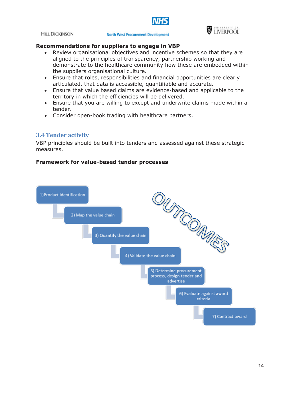



#### **North West Procurement Development**



#### **Recommendations for suppliers to engage in VBP**

- Review organisational objectives and incentive schemes so that they are aligned to the principles of transparency, partnership working and demonstrate to the healthcare community how these are embedded within the suppliers organisational culture.
- Ensure that roles, responsibilities and financial opportunities are clearly articulated, that data is accessible, quantifiable and accurate.
- Ensure that value based claims are evidence-based and applicable to the territory in which the efficiencies will be delivered.
- Ensure that you are willing to except and underwrite claims made within a tender.
- Consider open-book trading with healthcare partners.

## **3.4 Tender activity**

VBP principles should be built into tenders and assessed against these strategic measures.

#### **Framework for value-based tender processes**

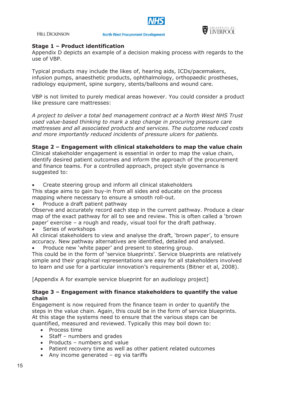



#### **Stage 1 – Product identification**

Appendix D depicts an example of a decision making process with regards to the use of VBP.

Typical products may include the likes of, hearing aids, ICDs/pacemakers, infusion pumps, anaesthetic products, ophthalmology, orthopaedic prostheses, radiology equipment, spine surgery, stents/balloons and wound care.

VBP is not limited to purely medical areas however. You could consider a product like pressure care mattresses:

*A project to deliver a total bed management contract at a North West NHS Trust used value-based thinking to mark a step change in procuring pressure care mattresses and all associated products and services. The outcome reduced costs and more importantly reduced incidents of pressure ulcers for patients.* 

#### **Stage 2 – Engagement with clinical stakeholders to map the value chain**

Clinical stakeholder engagement is essential in order to map the value chain, identify desired patient outcomes and inform the approach of the procurement and finance teams. For a controlled approach, project style governance is suggested to:

Create steering group and inform all clinical stakeholders

This stage aims to gain buy-in from all sides and educate on the process mapping where necessary to ensure a smooth roll-out.

Produce a draft patient pathway

Observe and accurately record each step in the current pathway. Produce a clear map of the exact pathway for all to see and review. This is often called a 'brown paper' exercise – a rough and ready, visual tool for the draft pathway.

Series of workshops

All clinical stakeholders to view and analyse the draft, 'brown paper', to ensure accuracy. New pathway alternatives are identified, detailed and analysed.

Produce new 'white paper' and present to steering group.

This could be in the form of 'service blueprints'. Service blueprints are relatively simple and their graphical representations are easy for all stakeholders involved to learn and use for a particular innovation's requirements (Bitner et al, 2008).

[Appendix A for example service blueprint for an audiology project]

#### **Stage 3 – Engagement with finance stakeholders to quantify the value chain**

Engagement is now required from the finance team in order to quantify the steps in the value chain. Again, this could be in the form of service blueprints. At this stage the systems need to ensure that the various steps can be quantified, measured and reviewed. Typically this may boil down to:

- Process time
- Staff numbers and grades
- Products numbers and value
- Patient recovery time as well as other patient related outcomes
- Any income generated  $-$  eg via tariffs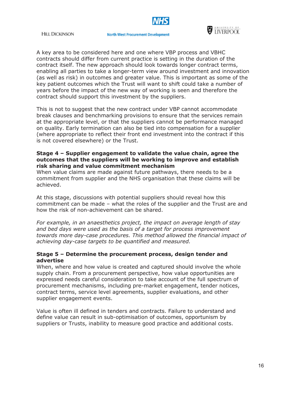



A key area to be considered here and one where VBP process and VBHC contracts should differ from current practice is setting in the duration of the contract itself. The new approach should look towards longer contract terms, enabling all parties to take a longer-term view around investment and innovation (as well as risk) in outcomes and greater value. This is important as some of the key patient outcomes which the Trust will want to shift could take a number of years before the impact of the new way of working is seen and therefore the contract should support this investment by the suppliers.

This is not to suggest that the new contract under VBP cannot accommodate break clauses and benchmarking provisions to ensure that the services remain at the appropriate level, or that the suppliers cannot be performance managed on quality. Early termination can also be tied into compensation for a supplier (where appropriate to reflect their front end investment into the contract if this is not covered elsewhere) or the Trust.

#### **Stage 4 – Supplier engagement to validate the value chain, agree the outcomes that the suppliers will be working to improve and establish risk sharing and value commitment mechanism**

When value claims are made against future pathways, there needs to be a commitment from supplier and the NHS organisation that these claims will be achieved.

At this stage, discussions with potential suppliers should reveal how this commitment can be made – what the roles of the supplier and the Trust are and how the risk of non-achievement can be shared.

*For example, in an anaesthetics project, the impact on average length of stay and bed days were used as the basis of a target for process improvement towards more day-case procedures. This method allowed the financial impact of achieving day-case targets to be quantified and measured.*

#### **Stage 5 – Determine the procurement process, design tender and advertise**

When, where and how value is created and captured should involve the whole supply chain. From a procurement perspective, how value opportunities are expressed needs careful consideration to take account of the full spectrum of procurement mechanisms, including pre-market engagement, tender notices, contract terms, service level agreements, supplier evaluations, and other supplier engagement events.

Value is often ill defined in tenders and contracts. Failure to understand and define value can result in sub-optimisation of outcomes, opportunism by suppliers or Trusts, inability to measure good practice and additional costs.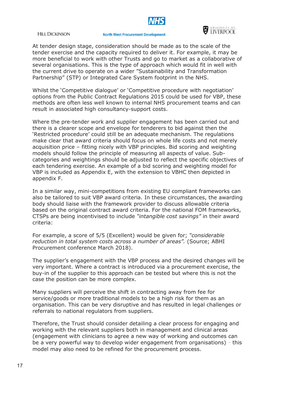

#### **North West Procurement Development**



At tender design stage, consideration should be made as to the scale of the tender exercise and the capacity required to deliver it. For example, it may be more beneficial to work with other Trusts and go to market as a collaborative of several organisations. This is the type of approach which would fit in well with the current drive to operate on a wider "Sustainability and Transformation Partnership" (STP) or Integrated Care System footprint in the NHS.

Whilst the 'Competitive dialogue' or 'Competitive procedure with negotiation' options from the Public Contract Regulations 2015 could be used for VBP, these methods are often less well known to internal NHS procurement teams and can result in associated high consultancy-support costs.

Where the pre-tender work and supplier engagement has been carried out and there is a clearer scope and envelope for tenderers to bid against then the 'Restricted procedure' could still be an adequate mechanism. The regulations make clear that award criteria should focus on whole life costs and not merely acquisition price – fitting nicely with VBP principles. Bid scoring and weighting models should follow the principle of measuring all aspects of value. Subcategories and weightings should be adjusted to reflect the specific objectives of each tendering exercise. An example of a bid scoring and weighting model for VBP is included as Appendix E, with the extension to VBHC then depicted in appendix F.

In a similar way, mini-competitions from existing EU compliant frameworks can also be tailored to suit VBP award criteria. In these circumstances, the awarding body should liaise with the framework provider to discuss allowable criteria based on the original contract award criteria. For the national FOM frameworks, CTSPs are being incentivised to include *"intangible cost savings"* in their award criteria:

For example, a score of 5/5 (Excellent) would be given for; *"considerable reduction in total system costs across a number of areas".* (Source; ABHI Procurement conference March 2018).

The supplier's engagement with the VBP process and the desired changes will be very important. Where a contract is introduced via a procurement exercise, the buy-in of the supplier to this approach can be tested but where this is not the case the position can be more complex.

Many suppliers will perceive the shift in contracting away from fee for service/goods or more traditional models to be a high risk for them as an organisation. This can be very disruptive and has resulted in legal challenges or referrals to national regulators from suppliers.

Therefore, the Trust should consider detailing a clear process for engaging and working with the relevant suppliers both in management and clinical areas (engagement with clinicians to agree a new way of working and outcomes can be a very powerful way to develop wider engagement from organisations) – this model may also need to be refined for the procurement process.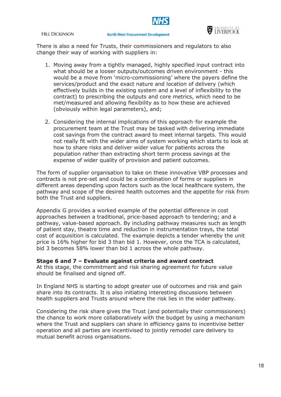

There is also a need for Trusts, their commissioners and regulators to also change their way of working with suppliers in:

- 1. Moving away from a tightly managed, highly specified input contract into what should be a looser outputs/outcomes driven environment - this would be a move from 'micro-commissioning' where the payers define the services/product and the exact nature and location of delivery (which effectively builds in the existing system and a level of inflexibility to the contract) to prescribing the outputs and core metrics, which need to be met/measured and allowing flexibility as to how these are achieved (obviously within legal parameters), and;
- 2. Considering the internal implications of this approach–for example the procurement team at the Trust may be tasked with delivering immediate cost savings from the contract award to meet internal targets. This would not really fit with the wider aims of system working which starts to look at how to share risks and deliver wider value for patients across the population rather than extracting short term process savings at the expense of wider quality of provision and patient outcomes.

The form of supplier organisation to take on these innovative VBP processes and contracts is not pre-set and could be a combination of forms or suppliers in different areas depending upon factors such as the local healthcare system, the pathway and scope of the desired health outcomes and the appetite for risk from both the Trust and suppliers.

Appendix G provides a worked example of the potential difference in cost approaches between a traditional, price-based approach to tendering; and a pathway, value-based approach. By including pathway measures such as length of patient stay, theatre time and reduction in instrumentation trays, the total cost of acquisition is calculated. The example depicts a tender whereby the unit price is 16% higher for bid 3 than bid 1. However, once the TCA is calculated, bid 3 becomes 58% lower than bid 1 across the whole pathway.

#### **Stage 6 and 7 – Evaluate against criteria and award contract**

At this stage, the commitment and risk sharing agreement for future value should be finalised and signed off.

In England NHS is starting to adopt greater use of outcomes and risk and gain share into its contracts. It is also initiating interesting discussions between health suppliers and Trusts around where the risk lies in the wider pathway.

Considering the risk share gives the Trust (and potentially their commissioners) the chance to work more collaboratively with the budget by using a mechanism where the Trust and suppliers can share in efficiency gains to incentivise better operation and all parties are incentivised to jointly remodel care delivery to mutual benefit across organisations.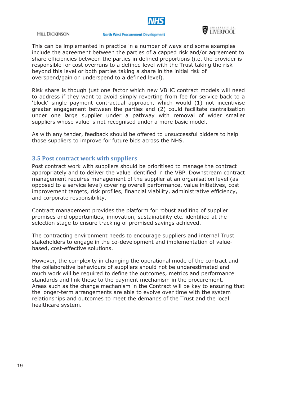

#### **North West Procurement Development**



This can be implemented in practice in a number of ways and some examples include the agreement between the parties of a capped risk and/or agreement to share efficiencies between the parties in defined proportions (i.e. the provider is responsible for cost overruns to a defined level with the Trust taking the risk beyond this level or both parties taking a share in the initial risk of overspend/gain on underspend to a defined level).

Risk share is though just one factor which new VBHC contract models will need to address if they want to avoid simply reverting from fee for service back to a 'block' single payment contractual approach, which would (1) not incentivise greater engagement between the parties and (2) could facilitate centralisation under one large supplier under a pathway with removal of wider smaller suppliers whose value is not recognised under a more basic model.

As with any tender, feedback should be offered to unsuccessful bidders to help those suppliers to improve for future bids across the NHS.

#### **3.5 Post contract work with suppliers**

Post contract work with suppliers should be prioritised to manage the contract appropriately and to deliver the value identified in the VBP. Downstream contract management requires management of the supplier at an organisation level (as opposed to a service level) covering overall performance, value initiatives, cost improvement targets, risk profiles, financial viability, administrative efficiency, and corporate responsibility.

Contract management provides the platform for robust auditing of supplier promises and opportunities, innovation, sustainability etc. identified at the selection stage to ensure tracking of promised savings achieved.

The contracting environment needs to encourage suppliers and internal Trust stakeholders to engage in the co-development and implementation of valuebased, cost-effective solutions.

However, the complexity in changing the operational mode of the contract and the collaborative behaviours of suppliers should not be underestimated and much work will be required to define the outcomes, metrics and performance standards and link these to the payment mechanism in the procurement. Areas such as the change mechanism in the Contract will be key to ensuring that the longer-term arrangements are able to evolve over time with the system relationships and outcomes to meet the demands of the Trust and the local healthcare system.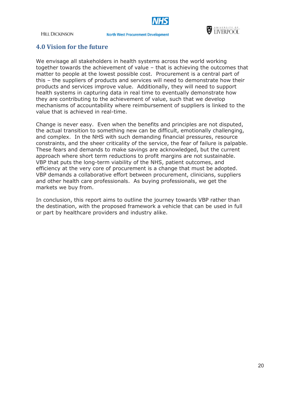

#### **North West Procurement Development**



## **4.0 Vision for the future**

We envisage all stakeholders in health systems across the world working together towards the achievement of value – that is achieving the outcomes that matter to people at the lowest possible cost. Procurement is a central part of this – the suppliers of products and services will need to demonstrate how their products and services improve value. Additionally, they will need to support health systems in capturing data in real time to eventually demonstrate how they are contributing to the achievement of value, such that we develop mechanisms of accountability where reimbursement of suppliers is linked to the value that is achieved in real-time.

Change is never easy. Even when the benefits and principles are not disputed, the actual transition to something new can be difficult, emotionally challenging, and complex. In the NHS with such demanding financial pressures, resource constraints, and the sheer criticality of the service, the fear of failure is palpable. These fears and demands to make savings are acknowledged, but the current approach where short term reductions to profit margins are not sustainable. VBP that puts the long-term viability of the NHS, patient outcomes, and efficiency at the very core of procurement is a change that must be adopted. VBP demands a collaborative effort between procurement, clinicians, suppliers and other health care professionals. As buying professionals, we get the markets we buy from.

In conclusion, this report aims to outline the journey towards VBP rather than the destination, with the proposed framework a vehicle that can be used in full or part by healthcare providers and industry alike.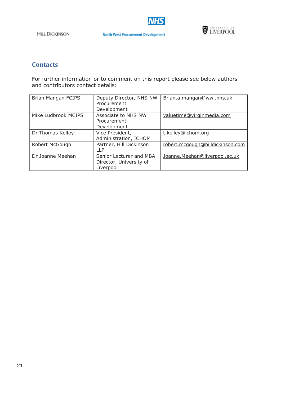



## **Contacts**

For further information or to comment on this report please see below authors and contributors contact details:

| Brian Mangan FCIPS  | Deputy Director, NHS NW<br>Procurement<br>Development           | Brian.a.mangan@wwl.nhs.uk        |
|---------------------|-----------------------------------------------------------------|----------------------------------|
| Mike Ludbrook MCIPS | Associate to NHS NW<br>Procurement<br>Development               | valuetime@virginmedia.com        |
| Dr Thomas Kelley    | Vice President,<br>Administration, ICHOM                        | t.kelley@ichom.org               |
| Robert McGough      | Partner, Hill Dickinson<br>$\sqcup P$                           | robert.mcgough@hilldickinson.com |
| Dr Joanne Meehan    | Senior Lecturer and MBA<br>Director, University of<br>Liverpool | Joanne. Meehan@liverpool.ac.uk   |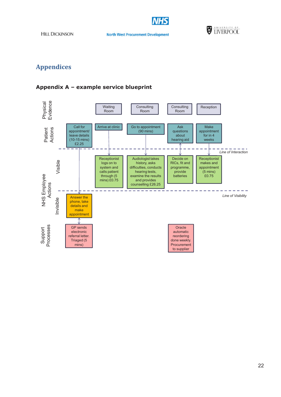

**North West Procurement Development** 



## **Appendices**

## **Appendix A – example service blueprint**

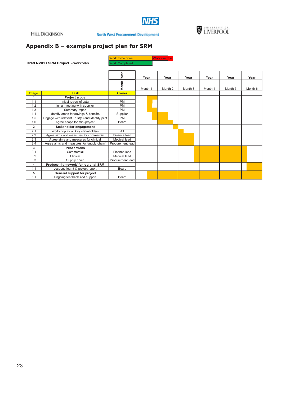

**North West Procurement Development** 



## **Appendix B – example project plan for SRM**

|                         |                                                  | Work to be done       |         |      | <b>Work overdue</b> |         |         |         |         |
|-------------------------|--------------------------------------------------|-----------------------|---------|------|---------------------|---------|---------|---------|---------|
|                         | Draft NWPD SRM Project - workplan                | <b>Work Completed</b> |         |      |                     |         |         |         |         |
|                         |                                                  |                       |         |      |                     |         |         |         |         |
|                         |                                                  | ear<br>≻              |         | Year | Year                | Year    | Year    | Year    | Year    |
|                         |                                                  | Month                 | Month 1 |      | Month 2             | Month 3 | Month 4 | Month 5 | Month 6 |
| <b>Stage</b>            | <b>Task</b>                                      | <b>Owner</b>          |         |      |                     |         |         |         |         |
| 1                       | Project scope                                    |                       |         |      |                     |         |         |         |         |
| 1.1                     | Initial review of data                           | <b>PM</b>             |         |      |                     |         |         |         |         |
| 1.2                     | Initial meeting with supplier                    | <b>PM</b>             |         |      |                     |         |         |         |         |
| 1.3                     | Summary report                                   | <b>PM</b>             |         |      |                     |         |         |         |         |
| 1.4                     | Identify areas for savings & benefits            | Supplier              |         |      |                     |         |         |         |         |
| 1.5                     | Engage with relevant Trust(s) and identify pilot | <b>PM</b>             |         |      |                     |         |         |         |         |
| 1.6                     | Agree scope for mini-project                     | <b>Board</b>          |         |      |                     |         |         |         |         |
| $\overline{\mathbf{2}}$ | Stakeholder engagement                           |                       |         |      |                     |         |         |         |         |
| 2.1                     | Workshop for all key stakeholders                | All                   |         |      |                     |         |         |         |         |
| 2.2                     | Agree aims and measures for commercial           | Finance lead          |         |      |                     |         |         |         |         |
| 2.3                     | Agree aims and measures for clinical             | Medical lead          |         |      |                     |         |         |         |         |
| 2.4                     | Agree aims and measures for 'supply chain'       | Procurement lead      |         |      |                     |         |         |         |         |
| 3                       | <b>Pilot actions</b>                             |                       |         |      |                     |         |         |         |         |
| 3.1                     | Commercial                                       | Finance lead          |         |      |                     |         |         |         |         |
| 3.2                     | Clinical                                         | Medical lead          |         |      |                     |         |         |         |         |
| 3.3                     | Supply chain                                     | Procurement lead      |         |      |                     |         |         |         |         |
| $\overline{4}$          | Produce 'framework' for regional SRM             |                       |         |      |                     |         |         |         |         |
| 4.1                     | Lessons learnt & project report                  | Board                 |         |      |                     |         |         |         |         |
| 5                       | General support for project                      |                       |         |      |                     |         |         |         |         |
| 5.1                     | Ongoing feedback and support                     | <b>Board</b>          |         |      |                     |         |         |         |         |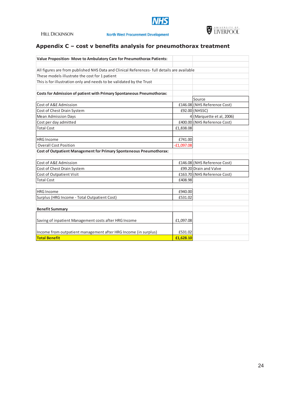

## **Appendix C – cost v benefits analysis for pneumothorax treatment**

| Value Proposition-Move to Ambulatory Care for Pneumothorax Patients:                        |              |                              |
|---------------------------------------------------------------------------------------------|--------------|------------------------------|
|                                                                                             |              |                              |
| All figures are from published NHS Data and Clinical References- full details are available |              |                              |
| These models illustrate the cost for 1 patient                                              |              |                              |
| This is for illustration only and needs to be validated by the Trust                        |              |                              |
|                                                                                             |              |                              |
| Costs for Admission of patient with Primary Spontaneous Pneumothorax:                       |              |                              |
|                                                                                             |              | Source                       |
| Cost of A&E Admission                                                                       |              | £146.08 (NHS Reference Cost) |
| Cost of Chest Drain System                                                                  |              | £92.00 (NHSSC)               |
| <b>Mean Admission Days</b>                                                                  |              | 4 (Marquette et al, 2006)    |
| Cost per day admitted                                                                       |              | £400.00 (NHS Reference Cost) |
| <b>Total Cost</b>                                                                           | £1,838.08    |                              |
|                                                                                             |              |                              |
| <b>HRG Income</b>                                                                           | £741.00      |                              |
| <b>Overall Cost Position</b>                                                                | $-E1,097.08$ |                              |
| <b>Cost of Outpatient Management for Primary Sponteneous Pneumothorax:</b>                  |              |                              |
|                                                                                             |              |                              |
| Cost of A&E Admission                                                                       |              | £146.08 (NHS Reference Cost) |
| Cost of Chest Drain System                                                                  |              | £99.20 Drain and Valve       |
| <b>Cost of Outpatient Visit</b>                                                             |              | £163.70 (NHS Reference Cost) |
| <b>Total Cost</b>                                                                           | £408.98      |                              |
|                                                                                             |              |                              |
| <b>HRG Income</b>                                                                           | £940.00      |                              |
| Surplus (HRG Income - Total Outpatient Cost)                                                | £531.02      |                              |
|                                                                                             |              |                              |
| <b>Benefit Summary</b>                                                                      |              |                              |
|                                                                                             |              |                              |
| Saving of inpatient Management costs after HRG Income                                       | £1,097.08    |                              |
|                                                                                             |              |                              |
| Income from outpatient management after HRG Income (in surplus)                             | £531.02      |                              |
| <b>Total Benefit</b>                                                                        | £1,628.10    |                              |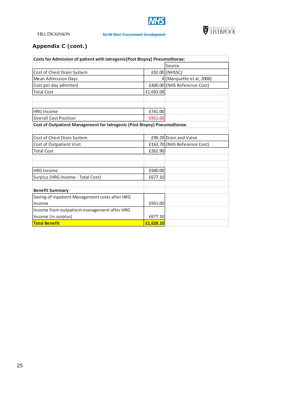



## **Appendix C (cont.)**

| Costs for Admission of patient with latrogenic(Post Biopsy) Pneumothorax: |            |                              |  |  |  |  |
|---------------------------------------------------------------------------|------------|------------------------------|--|--|--|--|
|                                                                           |            | Source                       |  |  |  |  |
| Cost of Chest Drain System                                                |            | £92.00 (NHSSC)               |  |  |  |  |
| <b>Mean Admission Days</b>                                                |            | $4$ (Marquette et al, 2006)  |  |  |  |  |
| Cost per day admitted                                                     |            | £400.00 (NHS Reference Cost) |  |  |  |  |
| <b>Total Cost</b>                                                         | £1,692.00  |                              |  |  |  |  |
|                                                                           |            |                              |  |  |  |  |
|                                                                           |            |                              |  |  |  |  |
| <b>HRG Income</b>                                                         | £741.00    |                              |  |  |  |  |
| <b>Overall Cost Position</b>                                              | $-£951.00$ |                              |  |  |  |  |
| Cost of Outpatient Management for latrogenic (Post Biopsy) Pneumothorax:  |            |                              |  |  |  |  |
|                                                                           |            |                              |  |  |  |  |
| Cost of Chest Drain System                                                |            | £99.20 Drain and Valve       |  |  |  |  |
| Cost of Outpatient Visit                                                  |            | £163.70 (NHS Reference Cost) |  |  |  |  |
| <b>Total Cost</b>                                                         | £262.90    |                              |  |  |  |  |
|                                                                           |            |                              |  |  |  |  |
|                                                                           |            |                              |  |  |  |  |
| <b>HRG Income</b>                                                         | £940.00    |                              |  |  |  |  |
| Surplus (HRG Income - Total Cost)                                         | £677.10    |                              |  |  |  |  |
|                                                                           |            |                              |  |  |  |  |
| <b>Benefit Summary</b>                                                    |            |                              |  |  |  |  |
| Saving of inpatient Management costs after HRG                            |            |                              |  |  |  |  |
| Income                                                                    | £951.00    |                              |  |  |  |  |
| Income from outpatient management after HRG                               |            |                              |  |  |  |  |
| Income (in surplus)                                                       | £677.10    |                              |  |  |  |  |
| <b>Total Benefit</b>                                                      | £1,628.10  |                              |  |  |  |  |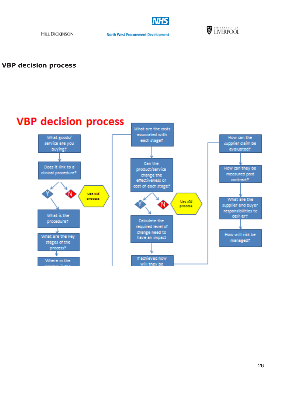

**North West Procurement Development** 



**VBP decision process** 

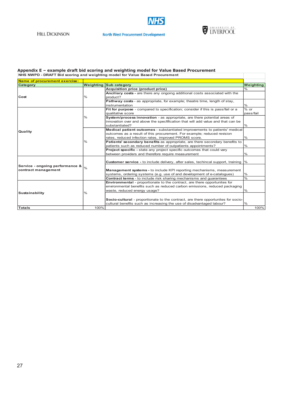

#### **North West Procurement Development**



#### **Appendix E – example draft bid scoring and weighting model for Value Based Procurement NHS NWPD - DRAFT Bid scoring and weighting model for Value Based Procurement**

| Name of procurement exercise:   |               |                                                                                   |                  |  |  |  |
|---------------------------------|---------------|-----------------------------------------------------------------------------------|------------------|--|--|--|
| Category                        |               | <b>Weighting Sub category</b>                                                     | <b>Weighting</b> |  |  |  |
|                                 |               | Acquisition price (product price)                                                 | $\frac{0}{0}$    |  |  |  |
|                                 |               | Anciliary costs - are there any ongoing additional costs associated with the      |                  |  |  |  |
| Cost                            | $\%$          | product?                                                                          |                  |  |  |  |
|                                 |               | Pathway costs - as appropriate, for example; theatre time, length of stay,        |                  |  |  |  |
|                                 |               | instrumentation                                                                   | %                |  |  |  |
|                                 |               | Fit for purpose - compared to specification; consider if this is pass/fail or a   | $\frac{1}{6}$ or |  |  |  |
|                                 |               | qualitative score                                                                 | pass/fail        |  |  |  |
|                                 | $\%$          | System/process innovation - as appropriate, are there potential areas of          |                  |  |  |  |
|                                 |               | innovation over and above the specfification that will add value and that can be  |                  |  |  |  |
|                                 |               | substantiated?                                                                    | $\%$             |  |  |  |
| Quality                         |               | Medical patient outcomes - substantiated improvements to patients' medical        |                  |  |  |  |
|                                 | $\frac{0}{0}$ | outcomes as a result of this procurement. For example; reduced revision           |                  |  |  |  |
|                                 |               | rates, reduced infection rates, improved PROMS score.                             | $\%$             |  |  |  |
|                                 |               | Patients' secondary benefits as appropriate, are there secondary benefits to      |                  |  |  |  |
|                                 |               | patients such as reduced number of outpatients appointments?                      | %                |  |  |  |
|                                 |               | <b>Project specific - state any project specific outcomes that could vary</b>     |                  |  |  |  |
|                                 |               | between providers and therefore require measurement                               | $\frac{0}{0}$    |  |  |  |
|                                 |               |                                                                                   |                  |  |  |  |
|                                 |               | Customer service - to include delivery, after sales, techincal support, training  | $\%$             |  |  |  |
| Service - ongoing performance & | $\frac{0}{0}$ |                                                                                   |                  |  |  |  |
| contract management             |               | Management systems - to include KPI reporting mechanisms, measurement             |                  |  |  |  |
|                                 |               | systems, ordering systems (e.g. use of and development of e-catalogues)           | $\%$             |  |  |  |
|                                 |               | <b>Contract terms</b> - to include risk sharing mechanisms and quarantees         | $\frac{0}{6}$    |  |  |  |
|                                 |               | <b>Environmental</b> - proportionate to the contract, are there opportunites for  |                  |  |  |  |
|                                 |               | environmental benefits such as reduced carbon emissions, reduced packaging        |                  |  |  |  |
|                                 | $\frac{0}{0}$ | waste, reduced energy usage?                                                      | $\frac{0}{0}$    |  |  |  |
| Sustainability                  |               |                                                                                   |                  |  |  |  |
|                                 |               | Socio-cultural - proportionate to the contract, are there opportunites for socio- |                  |  |  |  |
|                                 |               | cultural benefits such as increasing the use of disadvantaged labour?             | $\frac{0}{6}$    |  |  |  |
| <b>Totals</b>                   | 100%          |                                                                                   | 100%             |  |  |  |
|                                 |               |                                                                                   |                  |  |  |  |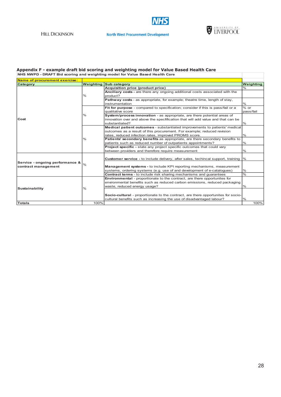

#### **North West Procurement Development**



#### **Appendix F - example draft bid scoring and weighting model for Value Based Health Care NHS NWPD - DRAFT Bid scoring and weighting model for Value Based Health Care**

| Name of procurement exercise:   |               |                                                                                            |               |  |  |
|---------------------------------|---------------|--------------------------------------------------------------------------------------------|---------------|--|--|
| <b>Category</b>                 | Weighting     | <b>Sub category</b>                                                                        |               |  |  |
|                                 |               | Acquisition price (product price)                                                          | $\frac{0}{0}$ |  |  |
|                                 |               | Anciliary costs - are there any ongoing additional costs associated with the               |               |  |  |
|                                 | $\%$          | product?                                                                                   |               |  |  |
|                                 |               | <b>Pathway costs</b> - as appropriate, for example; theatre time, length of stay,          |               |  |  |
|                                 |               | instrumentation                                                                            | $\%$          |  |  |
|                                 |               | Fit for purpose - compared to specification; consider if this is pass/fail or a            | $%$ or        |  |  |
|                                 |               | qualitative score                                                                          | pass/fail     |  |  |
|                                 | %             | System/process innovation - as appropriate, are there potential areas of                   |               |  |  |
| Cost                            |               | innovation over and above the specfification that will add value and that can be           |               |  |  |
|                                 |               | substantiated?                                                                             | $\%$          |  |  |
|                                 |               | Medical patient outcomes - substantiated improvements to patients' medical                 |               |  |  |
|                                 |               | outcomes as a result of this procurement. For example; reduced revision                    |               |  |  |
|                                 | %             | rates, reduced infection rates, improved PROMS score.                                      | $\frac{9}{6}$ |  |  |
|                                 |               | Patients' secondary benefits as appropriate, are there secondary benefits to               |               |  |  |
|                                 |               | patients such as reduced number of outpatients appointments?                               | $\%$          |  |  |
|                                 |               | <b>Project specific - state any project specific outcomes that could vary</b>              |               |  |  |
|                                 |               | between providers and therefore require measurement                                        | $\%$          |  |  |
|                                 | $\frac{0}{0}$ |                                                                                            |               |  |  |
|                                 |               | <b>Customer service</b> - to include delivery, after sales, techincal support, training  % |               |  |  |
| Service - ongoing performance & |               |                                                                                            |               |  |  |
| contract management             |               | Management systems - to include KPI reporting mechanisms, measurement                      |               |  |  |
|                                 |               | systems, ordering systems (e.g. use of and development of e-catalogues)                    | $\%$          |  |  |
|                                 |               | <b>Contract terms</b> - to include risk sharing mechanisms and quarantees                  | $\frac{0}{0}$ |  |  |
|                                 |               | <b>Environmental</b> - proportionate to the contract, are there opportunites for           |               |  |  |
|                                 |               | environmental benefits such as reduced carbon emissions, reduced packaging                 |               |  |  |
| Sustainability                  | %             | waste, reduced energy usage?                                                               | $\%$          |  |  |
|                                 |               | Socio-cultural - proportionate to the contract, are there opportunites for socio-          |               |  |  |
|                                 |               | cultural benefits such as increasing the use of disadvantaged labour?                      | $\frac{0}{0}$ |  |  |
|                                 |               |                                                                                            |               |  |  |
| <b>Totals</b>                   | 100%          |                                                                                            | 100%          |  |  |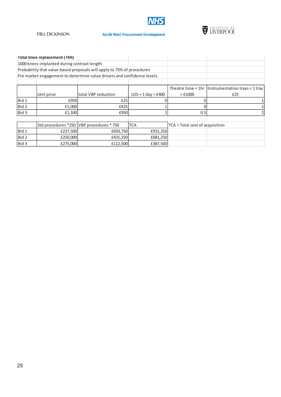

#### **North West Procurement Development**



|       | <b>Total knee replacement (TKR)</b>         |                                                                        |                      |                                 |                                                     |
|-------|---------------------------------------------|------------------------------------------------------------------------|----------------------|---------------------------------|-----------------------------------------------------|
|       | 1000 knees implanted during contract length |                                                                        |                      |                                 |                                                     |
|       |                                             | Probability that value based proposals will apply to 75% of procedures |                      |                                 |                                                     |
|       |                                             | Pre market engagement to determine value drivers and confidence levels |                      |                                 |                                                     |
|       |                                             |                                                                        |                      |                                 |                                                     |
|       |                                             |                                                                        |                      |                                 | Theatre time < 1hr   Instrumentation trays < 1 tray |
|       | Unit price                                  | total VBP reduction                                                    | $LOS < 1 day = £400$ | $=£1000$                        | £25                                                 |
| Bid 1 | £950                                        | £25                                                                    |                      |                                 |                                                     |
| Bid 2 | £1,000                                      | £425                                                                   |                      |                                 |                                                     |
| Bid 3 | £1,100                                      | £950                                                                   |                      | 0.5                             |                                                     |
|       |                                             |                                                                        |                      |                                 |                                                     |
|       |                                             | Std procedures *250 VBP procedures * 750                               | <b>TCA</b>           | TCA = Total cost of acquisition |                                                     |
| Bid 1 | £237,500                                    | £693,750                                                               | £931,250             |                                 |                                                     |
| Bid 2 | £250,000                                    | £431,250                                                               | £681,250             |                                 |                                                     |
| Bid 3 | £275,000                                    | £112,500                                                               | £387,500             |                                 |                                                     |